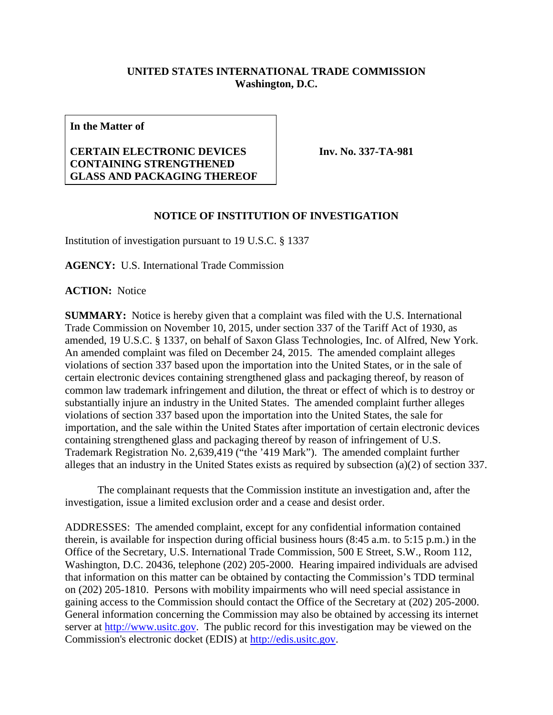## **UNITED STATES INTERNATIONAL TRADE COMMISSION Washington, D.C.**

**In the Matter of**

## **CERTAIN ELECTRONIC DEVICES CONTAINING STRENGTHENED GLASS AND PACKAGING THEREOF**

**Inv. No. 337-TA-981**

## **NOTICE OF INSTITUTION OF INVESTIGATION**

Institution of investigation pursuant to 19 U.S.C. § 1337

**AGENCY:** U.S. International Trade Commission

**ACTION:** Notice

**SUMMARY:** Notice is hereby given that a complaint was filed with the U.S. International Trade Commission on November 10, 2015, under section 337 of the Tariff Act of 1930, as amended, 19 U.S.C. § 1337, on behalf of Saxon Glass Technologies, Inc. of Alfred, New York. An amended complaint was filed on December 24, 2015. The amended complaint alleges violations of section 337 based upon the importation into the United States, or in the sale of certain electronic devices containing strengthened glass and packaging thereof, by reason of common law trademark infringement and dilution, the threat or effect of which is to destroy or substantially injure an industry in the United States. The amended complaint further alleges violations of section 337 based upon the importation into the United States, the sale for importation, and the sale within the United States after importation of certain electronic devices containing strengthened glass and packaging thereof by reason of infringement of U.S. Trademark Registration No. 2,639,419 ("the '419 Mark"). The amended complaint further alleges that an industry in the United States exists as required by subsection (a)(2) of section 337.

The complainant requests that the Commission institute an investigation and, after the investigation, issue a limited exclusion order and a cease and desist order.

ADDRESSES: The amended complaint, except for any confidential information contained therein, is available for inspection during official business hours (8:45 a.m. to 5:15 p.m.) in the Office of the Secretary, U.S. International Trade Commission, 500 E Street, S.W., Room 112, Washington, D.C. 20436, telephone (202) 205-2000. Hearing impaired individuals are advised that information on this matter can be obtained by contacting the Commission's TDD terminal on (202) 205-1810. Persons with mobility impairments who will need special assistance in gaining access to the Commission should contact the Office of the Secretary at (202) 205-2000. General information concerning the Commission may also be obtained by accessing its internet server at [http://www.usitc.gov.](http://www.usitc.gov/) The public record for this investigation may be viewed on the Commission's electronic docket (EDIS) at [http://edis.usitc.gov.](http://edis.usitc.gov/)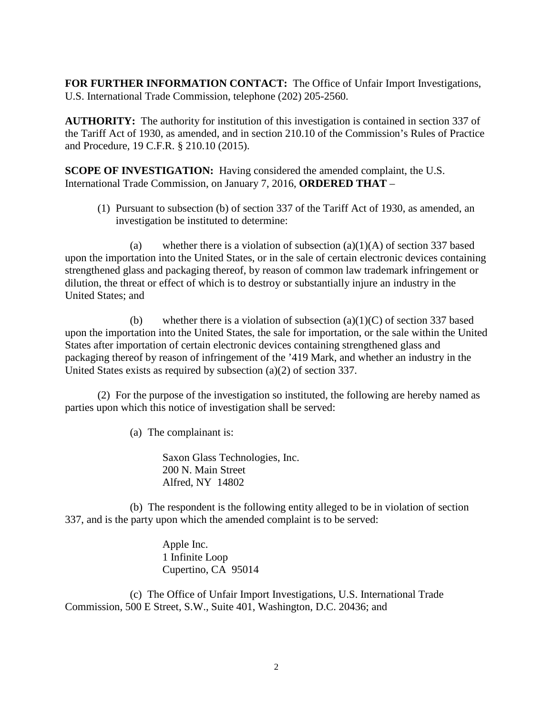**FOR FURTHER INFORMATION CONTACT:** The Office of Unfair Import Investigations, U.S. International Trade Commission, telephone (202) 205-2560.

**AUTHORITY:** The authority for institution of this investigation is contained in section 337 of the Tariff Act of 1930, as amended, and in section 210.10 of the Commission's Rules of Practice and Procedure, 19 C.F.R. § 210.10 (2015).

**SCOPE OF INVESTIGATION:** Having considered the amended complaint, the U.S. International Trade Commission, on January 7, 2016, **ORDERED THAT** –

(1) Pursuant to subsection (b) of section 337 of the Tariff Act of 1930, as amended, an investigation be instituted to determine:

(a) whether there is a violation of subsection  $(a)(1)(A)$  of section 337 based upon the importation into the United States, or in the sale of certain electronic devices containing strengthened glass and packaging thereof, by reason of common law trademark infringement or dilution, the threat or effect of which is to destroy or substantially injure an industry in the United States; and

(b) whether there is a violation of subsection (a)(1)(C) of section 337 based upon the importation into the United States, the sale for importation, or the sale within the United States after importation of certain electronic devices containing strengthened glass and packaging thereof by reason of infringement of the '419 Mark, and whether an industry in the United States exists as required by subsection (a)(2) of section 337.

(2) For the purpose of the investigation so instituted, the following are hereby named as parties upon which this notice of investigation shall be served:

(a) The complainant is:

Saxon Glass Technologies, Inc. 200 N. Main Street Alfred, NY 14802

(b) The respondent is the following entity alleged to be in violation of section 337, and is the party upon which the amended complaint is to be served:

> Apple Inc. 1 Infinite Loop Cupertino, CA 95014

(c) The Office of Unfair Import Investigations, U.S. International Trade Commission, 500 E Street, S.W., Suite 401, Washington, D.C. 20436; and